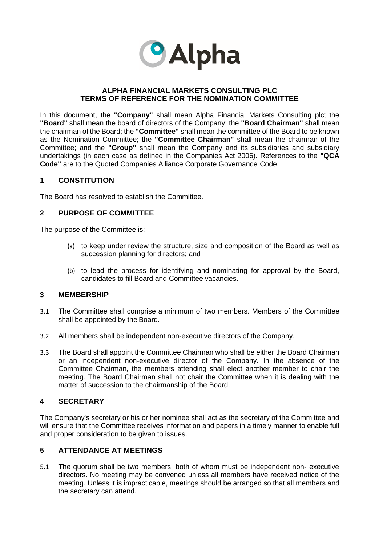

#### **ALPHA FINANCIAL MARKETS CONSULTING PLC TERMS OF REFERENCE FOR THE NOMINATION COMMITTEE**

In this document, the **"Company"** shall mean Alpha Financial Markets Consulting plc; the **"Board"** shall mean the board of directors of the Company; the **"Board Chairman"** shall mean the chairman of the Board; the **"Committee"** shall mean the committee of the Board to be known as the Nomination Committee; the **"Committee Chairman"** shall mean the chairman of the Committee; and the **"Group"** shall mean the Company and its subsidiaries and subsidiary undertakings (in each case as defined in the Companies Act 2006). References to the **"QCA Code"** are to the Quoted Companies Alliance Corporate Governance Code.

## **1 CONSTITUTION**

The Board has resolved to establish the Committee.

## **2 PURPOSE OF COMMITTEE**

The purpose of the Committee is:

- (a) to keep under review the structure, size and composition of the Board as well as succession planning for directors; and
- (b) to lead the process for identifying and nominating for approval by the Board, candidates to fill Board and Committee vacancies.

#### **3 MEMBERSHIP**

- 3.1 The Committee shall comprise a minimum of two members. Members of the Committee shall be appointed by the Board.
- 3.2 All members shall be independent non-executive directors of the Company.
- 3.3 The Board shall appoint the Committee Chairman who shall be either the Board Chairman or an independent non-executive director of the Company. In the absence of the Committee Chairman, the members attending shall elect another member to chair the meeting. The Board Chairman shall not chair the Committee when it is dealing with the matter of succession to the chairmanship of the Board.

## **4 SECRETARY**

The Company's secretary or his or her nominee shall act as the secretary of the Committee and will ensure that the Committee receives information and papers in a timely manner to enable full and proper consideration to be given to issues.

## **5 ATTENDANCE AT MEETINGS**

5.1 The quorum shall be two members, both of whom must be independent non- executive directors. No meeting may be convened unless all members have received notice of the meeting. Unless it is impracticable, meetings should be arranged so that all members and the secretary can attend.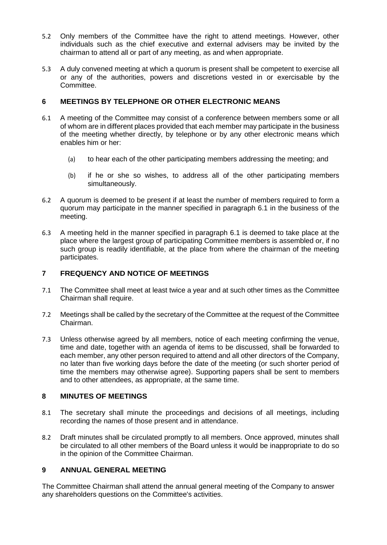- 5.2 Only members of the Committee have the right to attend meetings. However, other individuals such as the chief executive and external advisers may be invited by the chairman to attend all or part of any meeting, as and when appropriate.
- 5.3 A duly convened meeting at which a quorum is present shall be competent to exercise all or any of the authorities, powers and discretions vested in or exercisable by the Committee.

# **6 MEETINGS BY TELEPHONE OR OTHER ELECTRONIC MEANS**

- 6.1 A meeting of the Committee may consist of a conference between members some or all of whom are in different places provided that each member may participate in the business of the meeting whether directly, by telephone or by any other electronic means which enables him or her:
	- (a) to hear each of the other participating members addressing the meeting; and
	- (b) if he or she so wishes, to address all of the other participating members simultaneously.
- 6.2 A quorum is deemed to be present if at least the number of members required to form a quorum may participate in the manner specified in paragraph 6.1 in the business of the meeting.
- 6.3 A meeting held in the manner specified in paragraph 6.1 is deemed to take place at the place where the largest group of participating Committee members is assembled or, if no such group is readily identifiable, at the place from where the chairman of the meeting participates.

## **7 FREQUENCY AND NOTICE OF MEETINGS**

- 7.1 The Committee shall meet at least twice a year and at such other times as the Committee Chairman shall require.
- 7.2 Meetings shall be called by the secretary of the Committee at the request of the Committee Chairman.
- 7.3 Unless otherwise agreed by all members, notice of each meeting confirming the venue, time and date, together with an agenda of items to be discussed, shall be forwarded to each member, any other person required to attend and all other directors of the Company, no later than five working days before the date of the meeting (or such shorter period of time the members may otherwise agree). Supporting papers shall be sent to members and to other attendees, as appropriate, at the same time.

## **8 MINUTES OF MEETINGS**

- 8.1 The secretary shall minute the proceedings and decisions of all meetings, including recording the names of those present and in attendance.
- 8.2 Draft minutes shall be circulated promptly to all members. Once approved, minutes shall be circulated to all other members of the Board unless it would be inappropriate to do so in the opinion of the Committee Chairman.

# **9 ANNUAL GENERAL MEETING**

The Committee Chairman shall attend the annual general meeting of the Company to answer any shareholders questions on the Committee's activities.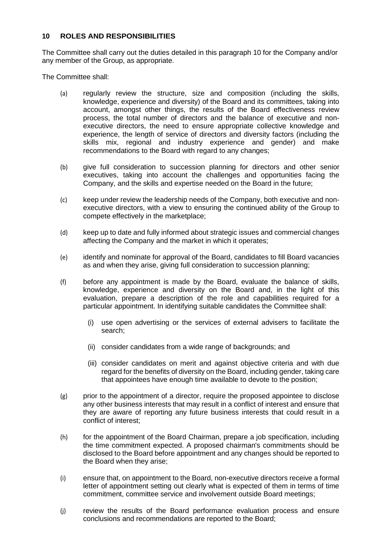#### **10 ROLES AND RESPONSIBILITIES**

The Committee shall carry out the duties detailed in this paragraph 10 for the Company and/or any member of the Group, as appropriate.

The Committee shall:

- (a) regularly review the structure, size and composition (including the skills, knowledge, experience and diversity) of the Board and its committees, taking into account, amongst other things, the results of the Board effectiveness review process, the total number of directors and the balance of executive and nonexecutive directors, the need to ensure appropriate collective knowledge and experience, the length of service of directors and diversity factors (including the skills mix, regional and industry experience and gender) and make recommendations to the Board with regard to any changes;
- (b) give full consideration to succession planning for directors and other senior executives, taking into account the challenges and opportunities facing the Company, and the skills and expertise needed on the Board in the future;
- (c) keep under review the leadership needs of the Company, both executive and nonexecutive directors, with a view to ensuring the continued ability of the Group to compete effectively in the marketplace;
- (d) keep up to date and fully informed about strategic issues and commercial changes affecting the Company and the market in which it operates;
- (e) identify and nominate for approval of the Board, candidates to fill Board vacancies as and when they arise, giving full consideration to succession planning;
- (f) before any appointment is made by the Board, evaluate the balance of skills, knowledge, experience and diversity on the Board and, in the light of this evaluation, prepare a description of the role and capabilities required for a particular appointment. In identifying suitable candidates the Committee shall:
	- (i) use open advertising or the services of external advisers to facilitate the search;
	- (ii) consider candidates from a wide range of backgrounds; and
	- (iii) consider candidates on merit and against objective criteria and with due regard for the benefits of diversity on the Board, including gender, taking care that appointees have enough time available to devote to the position;
- (g) prior to the appointment of a director, require the proposed appointee to disclose any other business interests that may result in a conflict of interest and ensure that they are aware of reporting any future business interests that could result in a conflict of interest;
- (h) for the appointment of the Board Chairman, prepare a job specification, including the time commitment expected. A proposed chairman's commitments should be disclosed to the Board before appointment and any changes should be reported to the Board when they arise;
- (i) ensure that, on appointment to the Board, non-executive directors receive a formal letter of appointment setting out clearly what is expected of them in terms of time commitment, committee service and involvement outside Board meetings;
- (j) review the results of the Board performance evaluation process and ensure conclusions and recommendations are reported to the Board;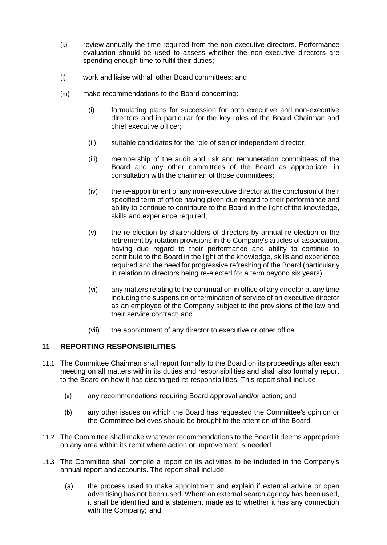- (k) review annually the time required from the non-executive directors. Performance evaluation should be used to assess whether the non-executive directors are spending enough time to fulfil their duties;
- (l) work and liaise with all other Board committees; and
- (m) make recommendations to the Board concerning:
	- (i) formulating plans for succession for both executive and non-executive directors and in particular for the key roles of the Board Chairman and chief executive officer;
	- (ii) suitable candidates for the role of senior independent director;
	- (iii) membership of the audit and risk and remuneration committees of the Board and any other committees of the Board as appropriate, in consultation with the chairman of those committees;
	- (iv) the re-appointment of any non-executive director at the conclusion of their specified term of office having given due regard to their performance and ability to continue to contribute to the Board in the light of the knowledge, skills and experience required;
	- (v) the re-election by shareholders of directors by annual re-election or the retirement by rotation provisions in the Company's articles of association, having due regard to their performance and ability to continue to contribute to the Board in the light of the knowledge, skills and experience required and the need for progressive refreshing of the Board (particularly in relation to directors being re-elected for a term beyond six years);
	- (vi) any matters relating to the continuation in office of any director at any time including the suspension or termination of service of an executive director as an employee of the Company subject to the provisions of the law and their service contract; and
	- (vii) the appointment of any director to executive or other office.

# **11 REPORTING RESPONSIBILITIES**

- 11.1 The Committee Chairman shall report formally to the Board on its proceedings after each meeting on all matters within its duties and responsibilities and shall also formally report to the Board on how it has discharged its responsibilities. This report shall include:
	- (a) any recommendations requiring Board approval and/or action; and
	- (b) any other issues on which the Board has requested the Committee's opinion or the Committee believes should be brought to the attention of the Board.
- 11.2 The Committee shall make whatever recommendations to the Board it deems appropriate on any area within its remit where action or improvement is needed.
- 11.3 The Committee shall compile a report on its activities to be included in the Company's annual report and accounts. The report shall include:
	- (a) the process used to make appointment and explain if external advice or open advertising has not been used. Where an external search agency has been used, it shall be identified and a statement made as to whether it has any connection with the Company; and